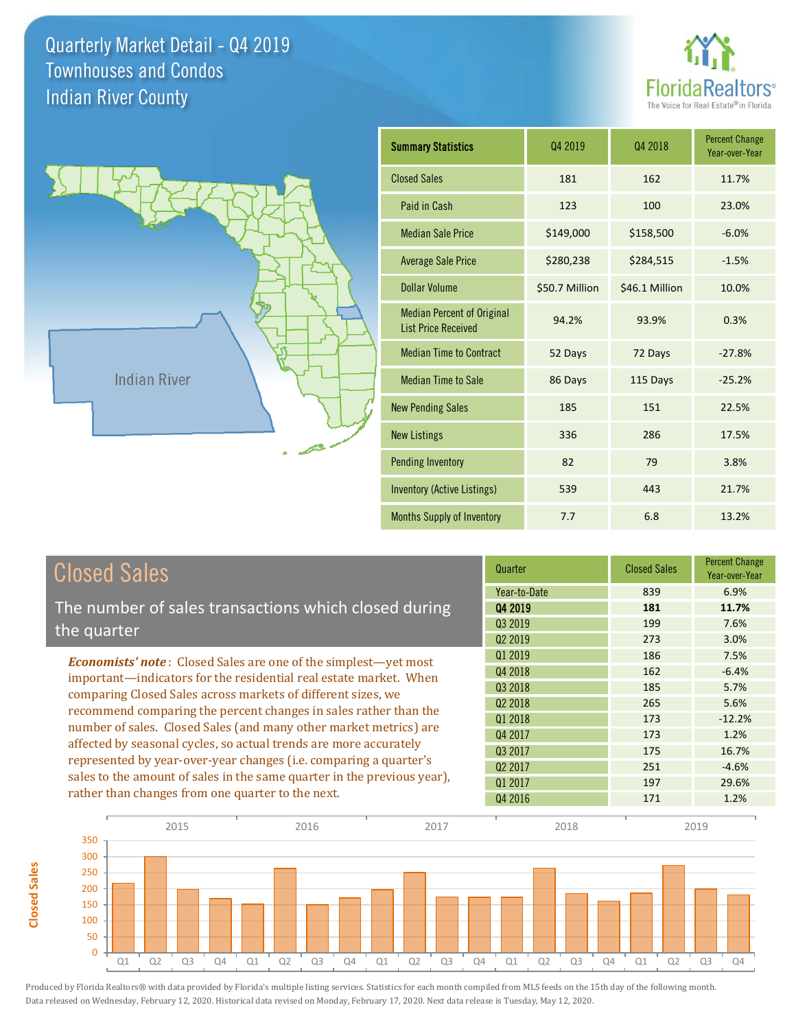**Closed Sales**

**Closed Sales** 





| <b>Summary Statistics</b>                                       | 04 2019        | 04 2018        | <b>Percent Change</b><br>Year-over-Year |
|-----------------------------------------------------------------|----------------|----------------|-----------------------------------------|
| <b>Closed Sales</b>                                             | 181            | 162            | 11.7%                                   |
| Paid in Cash                                                    | 123            | 100            | 23.0%                                   |
| <b>Median Sale Price</b>                                        | \$149,000      | \$158,500      | $-6.0%$                                 |
| <b>Average Sale Price</b>                                       | \$280,238      | \$284,515      | $-1.5%$                                 |
| Dollar Volume                                                   | \$50.7 Million | \$46.1 Million | 10.0%                                   |
| <b>Median Percent of Original</b><br><b>List Price Received</b> | 94.2%          | 93.9%          | 0.3%                                    |
| <b>Median Time to Contract</b>                                  | 52 Days        | 72 Days        | $-27.8%$                                |
| <b>Median Time to Sale</b>                                      | 86 Days        | 115 Days       | $-25.2%$                                |
| <b>New Pending Sales</b>                                        | 185            | 151            | 22.5%                                   |
| <b>New Listings</b>                                             | 336            | 286            | 17.5%                                   |
| <b>Pending Inventory</b>                                        | 82             | 79             | 3.8%                                    |
| <b>Inventory (Active Listings)</b>                              | 539            | 443            | 21.7%                                   |
| Months Supply of Inventory                                      | 7.7            | 6.8            | 13.2%                                   |

| <b>Closed Sales</b>                                                                                                              | Quarter             | <b>Closed Sales</b> | <b>Percent Change</b><br>Year-over-Year |
|----------------------------------------------------------------------------------------------------------------------------------|---------------------|---------------------|-----------------------------------------|
|                                                                                                                                  | Year-to-Date        | 839                 | 6.9%                                    |
| The number of sales transactions which closed during                                                                             | 04 2019             | 181                 | 11.7%                                   |
| the quarter                                                                                                                      | Q3 2019             | 199                 | 7.6%                                    |
|                                                                                                                                  | Q <sub>2</sub> 2019 | 273                 | 3.0%                                    |
| <b>Economists' note:</b> Closed Sales are one of the simplest—yet most                                                           | Q1 2019             | 186                 | 7.5%                                    |
| important-indicators for the residential real estate market. When                                                                | Q4 2018             | 162                 | $-6.4%$                                 |
| comparing Closed Sales across markets of different sizes, we<br>recommend comparing the percent changes in sales rather than the | 03 2018             | 185                 | 5.7%                                    |
|                                                                                                                                  | Q <sub>2</sub> 2018 | 265                 | 5.6%                                    |
|                                                                                                                                  | Q1 2018             | 173                 | $-12.2%$                                |
| number of sales. Closed Sales (and many other market metrics) are                                                                | Q4 2017             | 173                 | 1.2%                                    |
| affected by seasonal cycles, so actual trends are more accurately                                                                | 03 2017             | 175                 | 16.7%                                   |
| represented by year-over-year changes (i.e. comparing a quarter's                                                                | Q <sub>2</sub> 2017 | 251                 | $-4.6%$                                 |
| sales to the amount of sales in the same quarter in the previous year),                                                          | Q1 2017             | 197                 | 29.6%                                   |
| rather than changes from one quarter to the next.                                                                                | Q4 2016             | 171                 | 1.2%                                    |

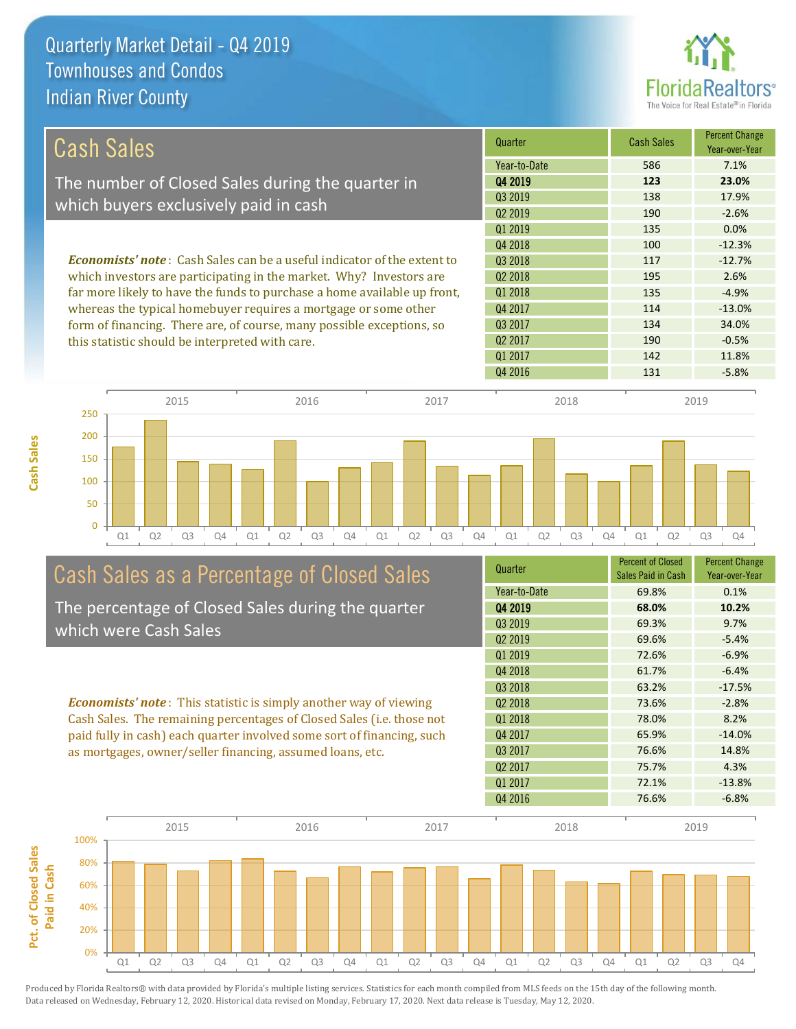

| Cash Sales                                                                     | Quarter             | <b>Cash Sales</b> | <b>Percent Change</b><br>Year-over-Year |
|--------------------------------------------------------------------------------|---------------------|-------------------|-----------------------------------------|
|                                                                                | Year-to-Date        | 586               | 7.1%                                    |
| The number of Closed Sales during the quarter in                               | 04 2019             | 123               | 23.0%                                   |
| which buyers exclusively paid in cash                                          | 03 2019             | 138               | 17.9%                                   |
|                                                                                | 02 2019             | 190               | $-2.6%$                                 |
|                                                                                | 01 2019             | 135               | 0.0%                                    |
|                                                                                | 04 2018             | 100               | $-12.3%$                                |
| <b>Economists' note:</b> Cash Sales can be a useful indicator of the extent to | 03 2018             | 117               | $-12.7%$                                |
| which investors are participating in the market. Why? Investors are            | 02 2018             | 195               | 2.6%                                    |
| far more likely to have the funds to purchase a home available up front,       | 01 2018             | 135               | $-4.9%$                                 |
| whereas the typical homebuyer requires a mortgage or some other                | Q4 2017             | 114               | $-13.0\%$                               |
| form of financing. There are, of course, many possible exceptions, so          | Q3 2017             | 134               | 34.0%                                   |
| this statistic should be interpreted with care.                                | Q <sub>2</sub> 2017 | 190               | $-0.5%$                                 |
|                                                                                | Q1 2017             | 142               | 11.8%                                   |



# Cash Sales as a Percentage of Closed Sales

The percentage of Closed Sales during the quarter which were Cash Sales

*Economists' note* : This statistic is simply another way of viewing Cash Sales. The remaining percentages of Closed Sales (i.e. those not paid fully in cash) each quarter involved some sort of financing, such as mortgages, owner/seller financing, assumed loans, etc.

| Quarter             | Sales Paid in Cash | Year-over-Year |
|---------------------|--------------------|----------------|
| Year-to-Date        | 69.8%              | 0.1%           |
| Q4 2019             | 68.0%              | 10.2%          |
| 03 2019             | 69.3%              | 9.7%           |
| Q <sub>2</sub> 2019 | 69.6%              | $-5.4%$        |
| Q1 2019             | 72.6%              | $-6.9%$        |
| Q4 2018             | 61.7%              | $-6.4%$        |
| Q3 2018             | 63.2%              | $-17.5%$       |
| Q <sub>2</sub> 2018 | 73.6%              | $-2.8%$        |
| Q1 2018             | 78.0%              | 8.2%           |
| Q4 2017             | 65.9%              | $-14.0%$       |
| Q3 2017             | 76.6%              | 14.8%          |
| Q <sub>2</sub> 2017 | 75.7%              | 4.3%           |
| 01 2017             | 72.1%              | $-13.8%$       |
| Q4 2016             | 76.6%              | $-6.8%$        |

Q4 2016 131 - 5.8%



**Cash Sales**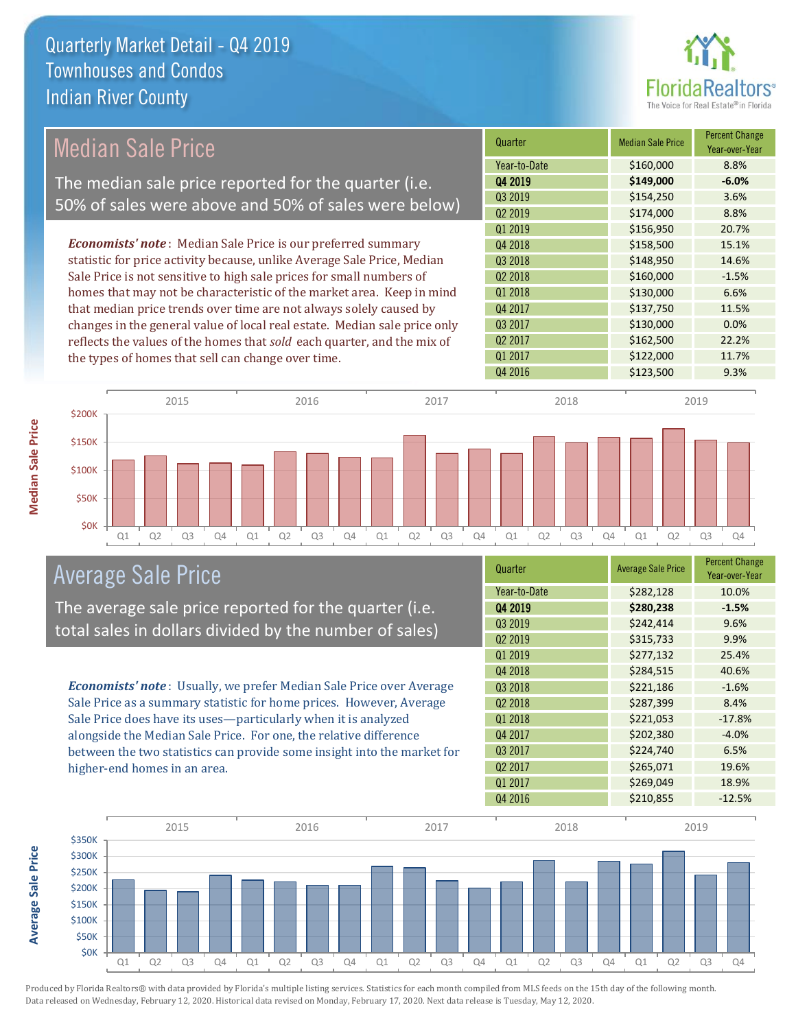

## Median Sale Price

The median sale price reported for the quarter (i.e. 50% of sales were above and 50% of sales were below)

*Economists' note* : Median Sale Price is our preferred summary statistic for price activity because, unlike Average Sale Price, Median Sale Price is not sensitive to high sale prices for small numbers of homes that may not be characteristic of the market area. Keep in mind that median price trends over time are not always solely caused by changes in the general value of local real estate. Median sale price only reflects the values of the homes that *sold* each quarter, and the mix of the types of homes that sell can change over time.

| Quarter             | <b>Median Sale Price</b> | <b>Percent Change</b><br>Year-over-Year |
|---------------------|--------------------------|-----------------------------------------|
| Year-to-Date        | \$160,000                | 8.8%                                    |
| Q4 2019             | \$149,000                | $-6.0%$                                 |
| Q3 2019             | \$154,250                | 3.6%                                    |
| Q <sub>2</sub> 2019 | \$174,000                | 8.8%                                    |
| Q1 2019             | \$156,950                | 20.7%                                   |
| Q4 2018             | \$158,500                | 15.1%                                   |
| Q3 2018             | \$148,950                | 14.6%                                   |
| Q <sub>2</sub> 2018 | \$160,000                | $-1.5%$                                 |
| Q1 2018             | \$130,000                | 6.6%                                    |
| Q4 2017             | \$137,750                | 11.5%                                   |
| Q3 2017             | \$130,000                | 0.0%                                    |
| Q <sub>2</sub> 2017 | \$162,500                | 22.2%                                   |
| Q1 2017             | \$122,000                | 11.7%                                   |
| Q4 2016             | \$123,500                | 9.3%                                    |



### Average Sale Price

The average sale price reported for the quarter (i.e. total sales in dollars divided by the number of sales)

*Economists' note* : Usually, we prefer Median Sale Price over Average Sale Price as a summary statistic for home prices. However, Average Sale Price does have its uses—particularly when it is analyzed alongside the Median Sale Price. For one, the relative difference between the two statistics can provide some insight into the market for higher-end homes in an area.

| Quarter             | <b>Average Sale Price</b> | <b>Percent Change</b><br>Year-over-Year |
|---------------------|---------------------------|-----------------------------------------|
| Year-to-Date        | \$282,128                 | 10.0%                                   |
| Q4 2019             | \$280,238                 | $-1.5%$                                 |
| Q3 2019             | \$242,414                 | 9.6%                                    |
| Q <sub>2</sub> 2019 | \$315,733                 | 9.9%                                    |
| Q1 2019             | \$277,132                 | 25.4%                                   |
| Q4 2018             | \$284,515                 | 40.6%                                   |
| Q3 2018             | \$221,186                 | $-1.6%$                                 |
| Q <sub>2</sub> 2018 | \$287,399                 | 8.4%                                    |
| Q1 2018             | \$221,053                 | $-17.8%$                                |
| Q4 2017             | \$202,380                 | $-4.0%$                                 |
| Q3 2017             | \$224,740                 | 6.5%                                    |
| Q <sub>2</sub> 2017 | \$265,071                 | 19.6%                                   |
| Q1 2017             | \$269,049                 | 18.9%                                   |
| Q4 2016             | \$210,855                 | $-12.5%$                                |



Produced by Florida Realtors® with data provided by Florida's multiple listing services. Statistics for each month compiled from MLS feeds on the 15th day of the following month. Data released on Wednesday, February 12, 2020. Historical data revised on Monday, February 17, 2020. Next data release is Tuesday, May 12, 2020.

**Average Sale Price**

**Average Sale Price**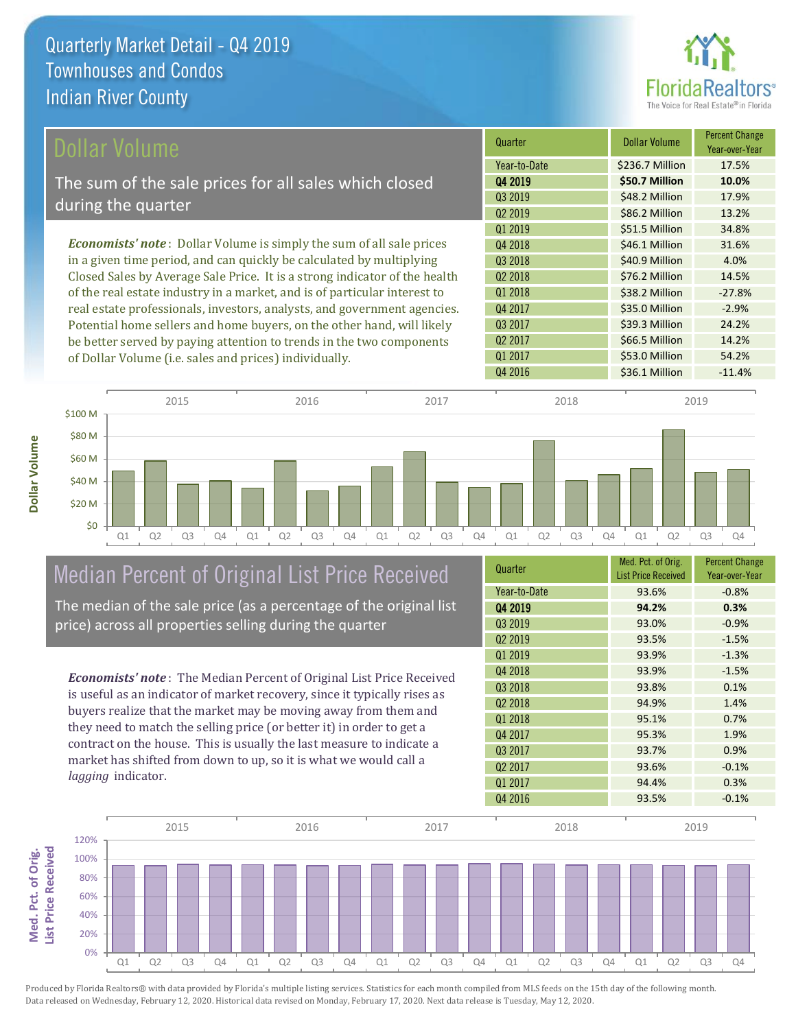**Dollar Volume**



| Dollar Volume                                                               | Quarter             | Dollar Volume   | <b>Percent Change</b><br>Year-over-Year |
|-----------------------------------------------------------------------------|---------------------|-----------------|-----------------------------------------|
|                                                                             | Year-to-Date        | \$236.7 Million | 17.5%                                   |
| The sum of the sale prices for all sales which closed                       | Q4 2019             | \$50.7 Million  | 10.0%                                   |
| during the quarter                                                          | Q3 2019             | \$48.2 Million  | 17.9%                                   |
|                                                                             | Q <sub>2</sub> 2019 | \$86.2 Million  | 13.2%                                   |
|                                                                             | Q1 2019             | \$51.5 Million  | 34.8%                                   |
| <b>Economists' note:</b> Dollar Volume is simply the sum of all sale prices | Q4 2018             | \$46.1 Million  | 31.6%                                   |
| in a given time period, and can quickly be calculated by multiplying        | Q3 2018             | \$40.9 Million  | 4.0%                                    |
| Closed Sales by Average Sale Price. It is a strong indicator of the health  | Q <sub>2</sub> 2018 | \$76.2 Million  | 14.5%                                   |
| of the real estate industry in a market, and is of particular interest to   | Q1 2018             | \$38.2 Million  | $-27.8%$                                |
| real estate professionals, investors, analysts, and government agencies.    | Q4 2017             | \$35.0 Million  | $-2.9%$                                 |
| Potential home sellers and home buyers, on the other hand, will likely      | Q3 2017             | \$39.3 Million  | 24.2%                                   |
| be better served by paying attention to trends in the two components        | Q <sub>2</sub> 2017 | \$66.5 Million  | 14.2%                                   |
| of Dollar Volume (i.e. sales and prices) individually.                      | Q1 2017             | \$53.0 Million  | 54.2%                                   |



# Median Percent of Original List Price Received

The median of the sale price (as a percentage of the original list price) across all properties selling during the quarter

*Economists' note* : The Median Percent of Original List Price Received is useful as an indicator of market recovery, since it typically rises as buyers realize that the market may be moving away from them and they need to match the selling price (or better it) in order to get a contract on the house. This is usually the last measure to indicate a market has shifted from down to up, so it is what we would call a *lagging* indicator.

| Quarter             | Med. Pct. of Orig.<br><b>List Price Received</b> | <b>Percent Change</b><br>Year-over-Year |
|---------------------|--------------------------------------------------|-----------------------------------------|
| Year-to-Date        | 93.6%                                            | $-0.8%$                                 |
| Q4 2019             | 94.2%                                            | 0.3%                                    |
| Q3 2019             | 93.0%                                            | $-0.9%$                                 |
| Q <sub>2</sub> 2019 | 93.5%                                            | $-1.5%$                                 |
| 01 2019             | 93.9%                                            | $-1.3%$                                 |
| Q4 2018             | 93.9%                                            | $-1.5%$                                 |
| Q3 2018             | 93.8%                                            | 0.1%                                    |
| Q <sub>2</sub> 2018 | 94.9%                                            | 1.4%                                    |
| Q1 2018             | 95.1%                                            | 0.7%                                    |
| Q4 2017             | 95.3%                                            | 1.9%                                    |
| Q3 2017             | 93.7%                                            | 0.9%                                    |
| Q <sub>2</sub> 2017 | 93.6%                                            | $-0.1%$                                 |
| Q1 2017             | 94.4%                                            | 0.3%                                    |
| Q4 2016             | 93.5%                                            | $-0.1%$                                 |

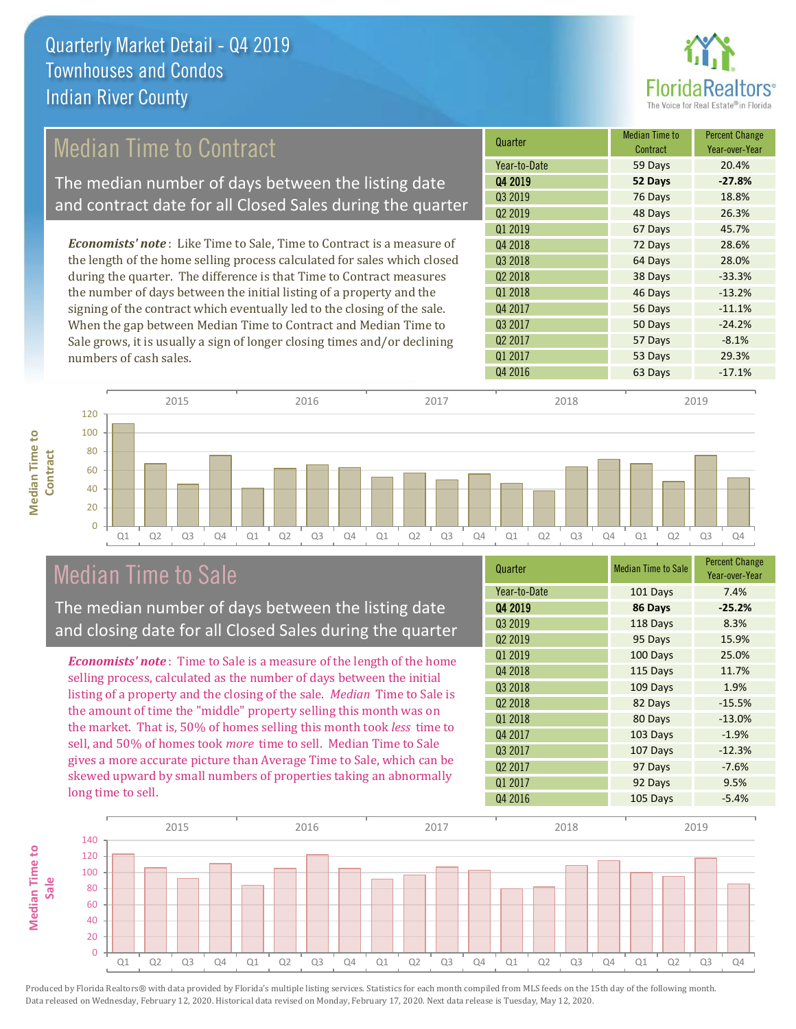

## Median Time to Contract

The median number of days between the listing date and contract date for all Closed Sales during the quarter

*Economists' note* : Like Time to Sale, Time to Contract is a measure of the length of the home selling process calculated for sales which closed during the quarter. The difference is that Time to Contract measures the number of days between the initial listing of a property and the signing of the contract which eventually led to the closing of the sale. When the gap between Median Time to Contract and Median Time to Sale grows, it is usually a sign of longer closing times and/or declining numbers of cash sales.

| Quarter             | <b>Median Time to</b><br>Contract | <b>Percent Change</b><br>Year-over-Year |
|---------------------|-----------------------------------|-----------------------------------------|
| Year-to-Date        | 59 Days                           | 20.4%                                   |
| Q4 2019             | 52 Days                           | $-27.8%$                                |
| Q3 2019             | 76 Days                           | 18.8%                                   |
| Q <sub>2</sub> 2019 | 48 Days                           | 26.3%                                   |
| Q1 2019             | 67 Days                           | 45.7%                                   |
| Q4 2018             | 72 Days                           | 28.6%                                   |
| Q3 2018             | 64 Days                           | 28.0%                                   |
| Q <sub>2</sub> 2018 | 38 Days                           | $-33.3%$                                |
| Q1 2018             | 46 Days                           | $-13.2%$                                |
| Q4 2017             | 56 Days                           | $-11.1%$                                |
| Q3 2017             | 50 Days                           | $-24.2%$                                |
| Q <sub>2</sub> 2017 | 57 Days                           | $-8.1%$                                 |
| Q1 2017             | 53 Days                           | 29.3%                                   |
| Q4 2016             | 63 Days                           | $-17.1%$                                |



### Median Time to Sale

**Median Time to** 

**Median Time to** 

The median number of days between the listing date and closing date for all Closed Sales during the quarter

*Economists' note* : Time to Sale is a measure of the length of the home selling process, calculated as the number of days between the initial listing of a property and the closing of the sale. *Median* Time to Sale is the amount of time the "middle" property selling this month was on the market. That is, 50% of homes selling this month took *less* time to sell, and 50% of homes took *more* time to sell. Median Time to Sale gives a more accurate picture than Average Time to Sale, which can be skewed upward by small numbers of properties taking an abnormally long time to sell.

| Quarter             | <b>Median Time to Sale</b> | <b>Percent Change</b><br>Year-over-Year |
|---------------------|----------------------------|-----------------------------------------|
| Year-to-Date        | 101 Days                   | 7.4%                                    |
| Q4 2019             | 86 Days                    | $-25.2%$                                |
| Q3 2019             | 118 Days                   | 8.3%                                    |
| Q <sub>2</sub> 2019 | 95 Days                    | 15.9%                                   |
| Q1 2019             | 100 Days                   | 25.0%                                   |
| Q4 2018             | 115 Days                   | 11.7%                                   |
| Q3 2018             | 109 Days                   | 1.9%                                    |
| Q <sub>2</sub> 2018 | 82 Days                    | $-15.5%$                                |
| Q1 2018             | 80 Days                    | $-13.0%$                                |
| Q4 2017             | 103 Days                   | $-1.9%$                                 |
| Q3 2017             | 107 Days                   | $-12.3%$                                |
| Q <sub>2</sub> 2017 | 97 Days                    | $-7.6%$                                 |
| Q1 2017             | 92 Days                    | 9.5%                                    |
| Q4 2016             | 105 Days                   | $-5.4%$                                 |

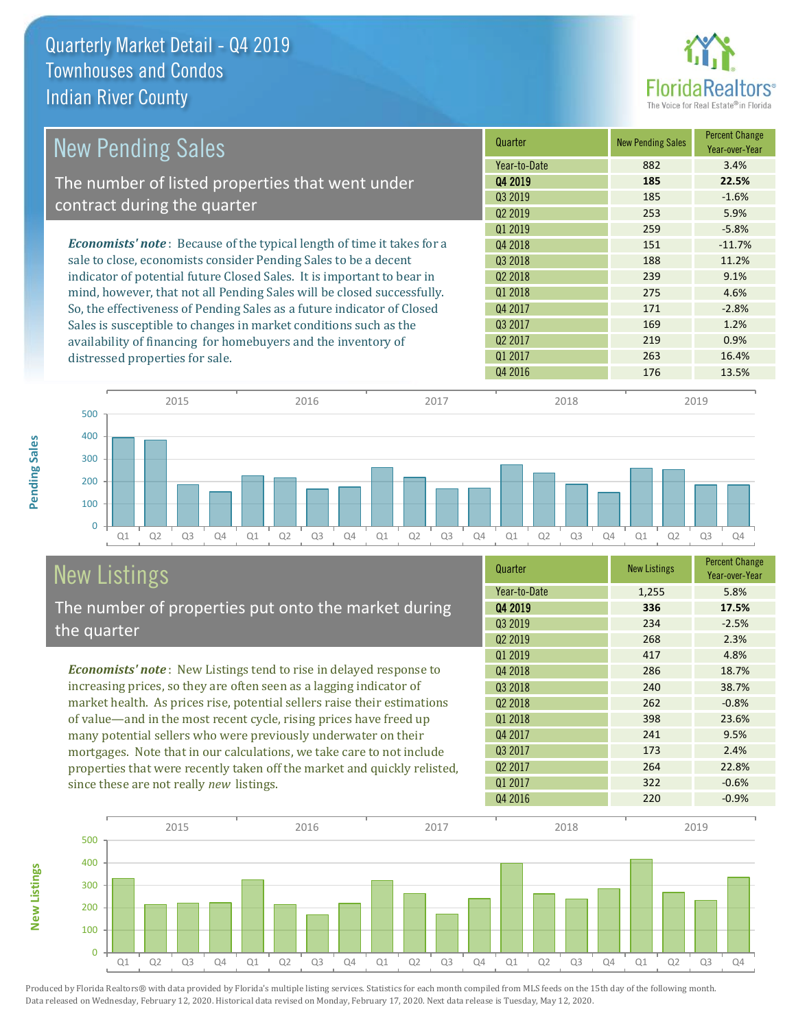

| <b>New Pending Sales</b>                                                      | Quarter             | <b>New Pending Sales</b> | <b>Percent Change</b><br>Year-over-Year |
|-------------------------------------------------------------------------------|---------------------|--------------------------|-----------------------------------------|
|                                                                               | Year-to-Date        | 882                      | 3.4%                                    |
| The number of listed properties that went under                               | Q4 2019             | 185                      | 22.5%                                   |
| contract during the quarter                                                   | Q3 2019             | 185                      | $-1.6%$                                 |
|                                                                               | Q <sub>2</sub> 2019 | 253                      | 5.9%                                    |
|                                                                               | 01 2019             | 259                      | $-5.8%$                                 |
| <b>Economists' note:</b> Because of the typical length of time it takes for a | Q4 2018             | 151                      | $-11.7%$                                |
| sale to close, economists consider Pending Sales to be a decent               | Q3 2018             | 188                      | 11.2%                                   |
| indicator of potential future Closed Sales. It is important to bear in        | Q <sub>2</sub> 2018 | 239                      | 9.1%                                    |
| mind, however, that not all Pending Sales will be closed successfully.        | 01 2018             | 275                      | 4.6%                                    |
| So, the effectiveness of Pending Sales as a future indicator of Closed        | Q4 2017             | 171                      | $-2.8%$                                 |
| Sales is susceptible to changes in market conditions such as the              | Q3 2017             | 169                      | 1.2%                                    |
| availability of financing for homebuyers and the inventory of                 | Q <sub>2</sub> 2017 | 219                      | 0.9%                                    |
| distressed properties for sale.                                               | Q1 2017             | 263                      | 16.4%                                   |
|                                                                               | Q4 2016             | 176                      | 13.5%                                   |

**New Listings**



2015 2016 2017 2018 2019

# New Listings

The number of properties put onto the market during the quarter

*Economists' note* : New Listings tend to rise in delayed response to increasing prices, so they are often seen as a lagging indicator of market health. As prices rise, potential sellers raise their estimations of value—and in the most recent cycle, rising prices have freed up many potential sellers who were previously underwater on their mortgages. Note that in our calculations, we take care to not include properties that were recently taken off the market and quickly relisted, since these are not really *new* listings.

| Quarter             | <b>New Listings</b> | <b>Percent Change</b><br>Year-over-Year |
|---------------------|---------------------|-----------------------------------------|
| Year-to-Date        | 1,255               | 5.8%                                    |
| Q4 2019             | 336                 | 17.5%                                   |
| Q3 2019             | 234                 | $-2.5%$                                 |
| Q <sub>2</sub> 2019 | 268                 | 2.3%                                    |
| Q1 2019             | 417                 | 4.8%                                    |
| Q4 2018             | 286                 | 18.7%                                   |
| Q3 2018             | 240                 | 38.7%                                   |
| Q <sub>2</sub> 2018 | 262                 | $-0.8%$                                 |
| Q1 2018             | 398                 | 23.6%                                   |
| Q4 2017             | 241                 | 9.5%                                    |
| Q3 2017             | 173                 | 2.4%                                    |
| Q <sub>2</sub> 2017 | 264                 | 22.8%                                   |
| Q1 2017             | 322                 | $-0.6%$                                 |
| Q4 2016             | 220                 | $-0.9%$                                 |

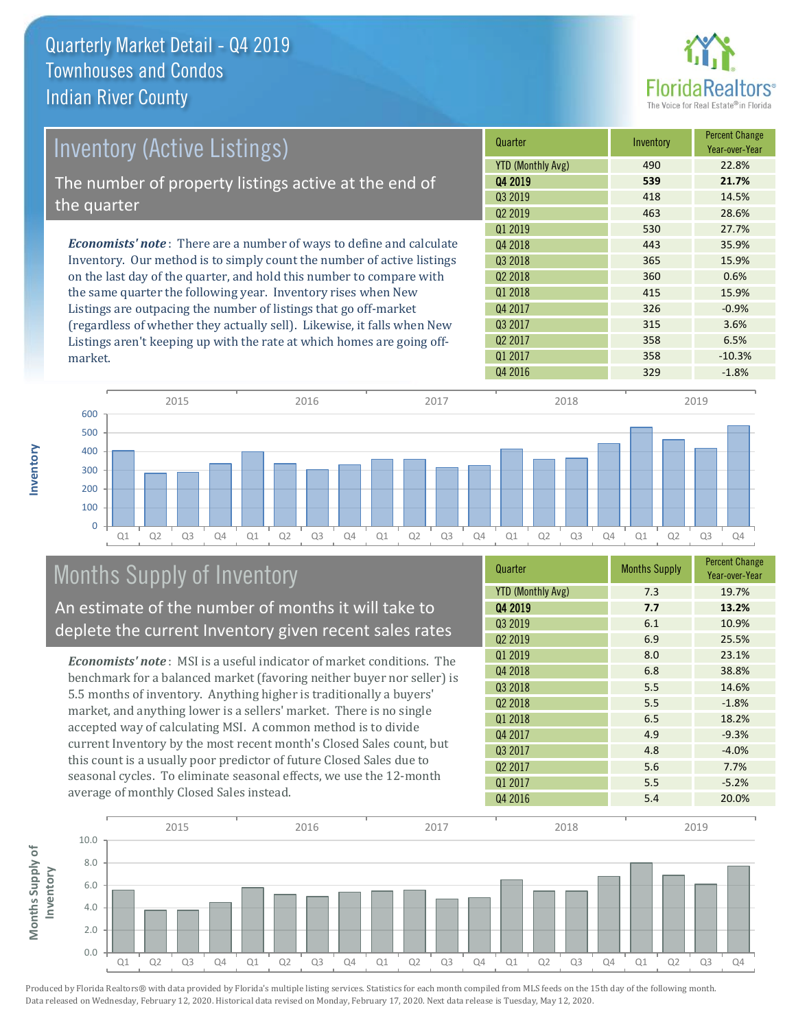

| <b>Inventory (Active Listings)</b>                                           | Quarter             | Inventory | <b>Percent Change</b><br>Year-over-Year |
|------------------------------------------------------------------------------|---------------------|-----------|-----------------------------------------|
|                                                                              | YTD (Monthly Avg)   | 490       | 22.8%                                   |
| The number of property listings active at the end of                         | Q4 2019             | 539       | 21.7%                                   |
|                                                                              | Q3 2019             | 418       | 14.5%                                   |
| the quarter                                                                  | Q <sub>2</sub> 2019 | 463       | 28.6%                                   |
|                                                                              | 01 2019             | 530       | 27.7%                                   |
| <b>Economists' note</b> : There are a number of ways to define and calculate | 04 2018             | 443       | 35.9%                                   |
| Inventory. Our method is to simply count the number of active listings       | Q3 2018             | 365       | 15.9%                                   |
| on the last day of the quarter, and hold this number to compare with         | Q <sub>2</sub> 2018 | 360       | 0.6%                                    |
| the same quarter the following year. Inventory rises when New                | Q1 2018             | 415       | 15.9%                                   |
| Listings are outpacing the number of listings that go off-market             | Q4 2017             | 326       | $-0.9%$                                 |
| (regardless of whether they actually sell). Likewise, it falls when New      | Q3 2017             | 315       | 3.6%                                    |
| Listings aren't keeping up with the rate at which homes are going off-       | Q <sub>2</sub> 2017 | 358       | 6.5%                                    |

Q1 Q2 Q3 Q4 Q1 Q2 Q3 Q4 Q1 Q2 Q3 Q4 Q1 Q2 Q3 Q4 Q1 Q2 Q3 Q4  $\overline{0}$ 100 200 300 400 500 600 2015 2016 2017 2018 2019

# Months Supply of Inventory

An estimate of the number of months it will take to deplete the current Inventory given recent sales rates

*Economists' note* : MSI is a useful indicator of market conditions. The benchmark for a balanced market (favoring neither buyer nor seller) is 5.5 months of inventory. Anything higher is traditionally a buyers' market, and anything lower is a sellers' market. There is no single accepted way of calculating MSI. A common method is to divide current Inventory by the most recent month's Closed Sales count, but this count is a usually poor predictor of future Closed Sales due to seasonal cycles. To eliminate seasonal effects, we use the 12-month average of monthly Closed Sales instead.

| Quarter                  | <b>Months Supply</b> | <b>Percent Change</b><br>Year-over-Year |
|--------------------------|----------------------|-----------------------------------------|
| <b>YTD (Monthly Avg)</b> | 7.3                  | 19.7%                                   |
| Q4 2019                  | 7.7                  | 13.2%                                   |
| Q3 2019                  | 6.1                  | 10.9%                                   |
| Q <sub>2</sub> 2019      | 6.9                  | 25.5%                                   |
| Q1 2019                  | 8.0                  | 23.1%                                   |
| Q4 2018                  | 6.8                  | 38.8%                                   |
| Q3 2018                  | 5.5                  | 14.6%                                   |
| Q <sub>2</sub> 2018      | 5.5                  | $-1.8%$                                 |
| Q1 2018                  | 6.5                  | 18.2%                                   |
| Q4 2017                  | 4.9                  | $-9.3%$                                 |
| Q3 2017                  | 4.8                  | $-4.0%$                                 |
| Q <sub>2</sub> 2017      | 5.6                  | 7.7%                                    |
| Q1 2017                  | 5.5                  | $-5.2%$                                 |
| Q4 2016                  | 5.4                  | 20.0%                                   |

Q4 2016 329 -1.8%

Q1 2017 358 -10.3%



Produced by Florida Realtors® with data provided by Florida's multiple listing services. Statistics for each month compiled from MLS feeds on the 15th day of the following month. Data released on Wednesday, February 12, 2020. Historical data revised on Monday, February 17, 2020. Next data release is Tuesday, May 12, 2020.

market.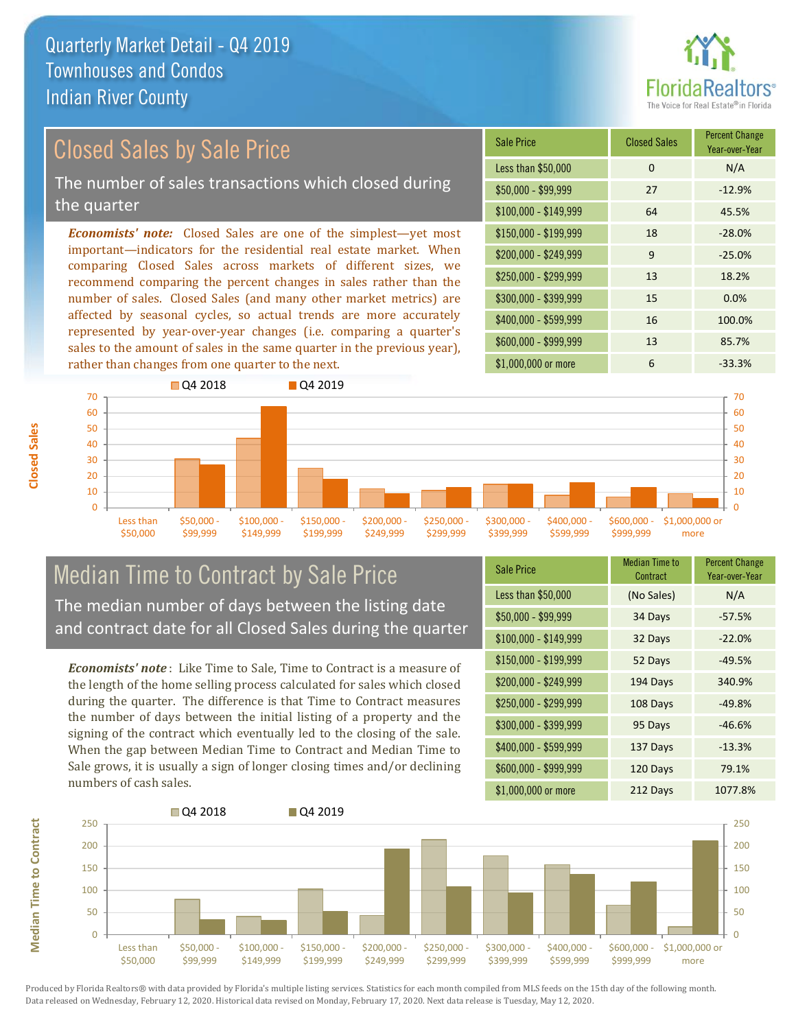

## Closed Sales by Sale Price

The number of sales transactions which closed during the quarter

*Economists' note:* Closed Sales are one of the simplest—yet most important—indicators for the residential real estate market. When comparing Closed Sales across markets of different sizes, we recommend comparing the percent changes in sales rather than the number of sales. Closed Sales (and many other market metrics) are affected by seasonal cycles, so actual trends are more accurately represented by year-over-year changes (i.e. comparing a quarter's sales to the amount of sales in the same quarter in the previous year), rather than changes from one quarter to the next.

| <b>Sale Price</b>     | <b>Closed Sales</b> | <b>Percent Change</b><br>Year-over-Year |
|-----------------------|---------------------|-----------------------------------------|
| Less than \$50,000    | 0                   | N/A                                     |
| $$50,000 - $99,999$   | 27                  | $-12.9%$                                |
| $$100,000 - $149,999$ | 64                  | 45.5%                                   |
| $$150,000 - $199,999$ | 18                  | $-28.0%$                                |
| \$200,000 - \$249,999 | 9                   | $-25.0%$                                |
| \$250,000 - \$299,999 | 13                  | 18.2%                                   |
| \$300,000 - \$399,999 | 15                  | 0.0%                                    |
| \$400,000 - \$599,999 | 16                  | 100.0%                                  |
| \$600,000 - \$999,999 | 13                  | 85.7%                                   |
| \$1,000,000 or more   | 6                   | $-33.3%$                                |



#### Median Time to Contract by Sale Price The median number of days between the listing date and contract date for all Closed Sales during the quarter

*Economists' note* : Like Time to Sale, Time to Contract is a measure of the length of the home selling process calculated for sales which closed during the quarter. The difference is that Time to Contract measures the number of days between the initial listing of a property and the signing of the contract which eventually led to the closing of the sale. When the gap between Median Time to Contract and Median Time to Sale grows, it is usually a sign of longer closing times and/or declining numbers of cash sales.

| <b>Sale Price</b>     | Median Time to<br>Contract | <b>Percent Change</b><br>Year-over-Year |
|-----------------------|----------------------------|-----------------------------------------|
| Less than \$50,000    | (No Sales)                 | N/A                                     |
| $$50,000 - $99,999$   | 34 Days                    | $-57.5%$                                |
| $$100,000 - $149,999$ | 32 Days                    | $-22.0%$                                |
| $$150,000 - $199,999$ | 52 Days                    | $-49.5%$                                |
| \$200,000 - \$249,999 | 194 Days                   | 340.9%                                  |
| \$250,000 - \$299,999 | 108 Days                   | $-49.8%$                                |
| \$300,000 - \$399,999 | 95 Days                    | $-46.6%$                                |
| \$400,000 - \$599,999 | 137 Days                   | $-13.3%$                                |
| \$600,000 - \$999,999 | 120 Days                   | 79.1%                                   |
| \$1,000,000 or more   | 212 Days                   | 1077.8%                                 |



Produced by Florida Realtors® with data provided by Florida's multiple listing services. Statistics for each month compiled from MLS feeds on the 15th day of the following month. Data released on Wednesday, February 12, 2020. Historical data revised on Monday, February 17, 2020. Next data release is Tuesday, May 12, 2020.

**Median Time to Contract**

**Median Time to Contract**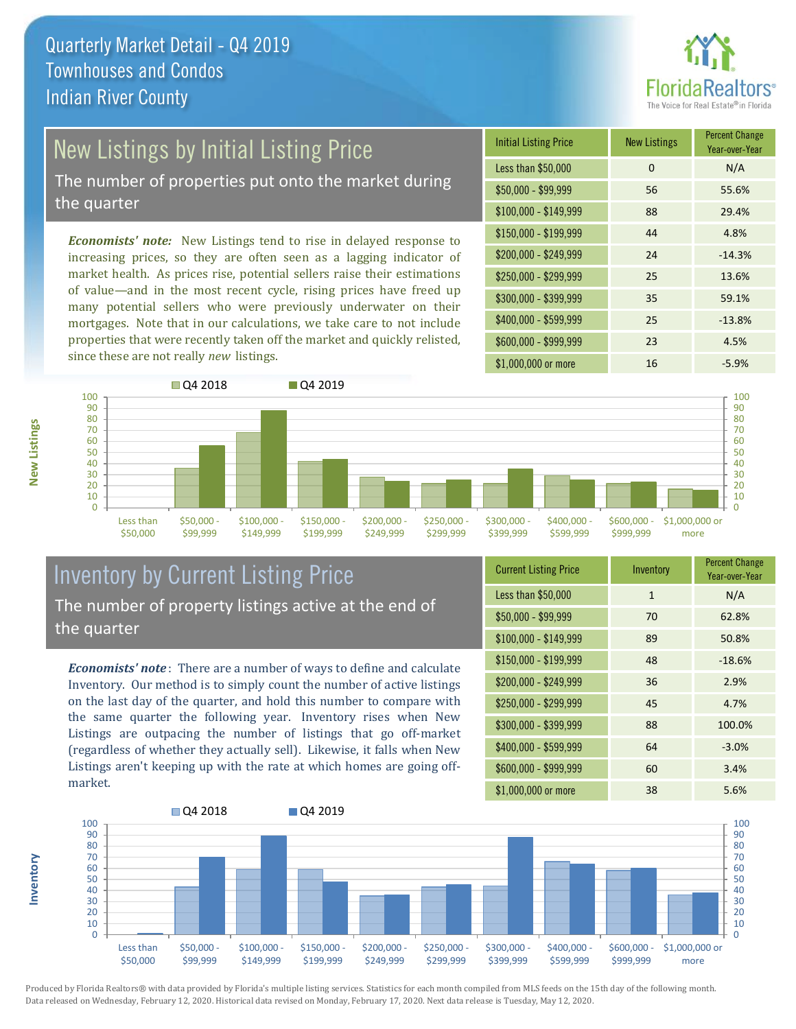

# New Listings by Initial Listing Price

The number of properties put onto the market during the quarter

*Economists' note:* New Listings tend to rise in delayed response to increasing prices, so they are often seen as a lagging indicator of market health. As prices rise, potential sellers raise their estimations of value—and in the most recent cycle, rising prices have freed up many potential sellers who were previously underwater on their mortgages. Note that in our calculations, we take care to not include properties that were recently taken off the market and quickly relisted, since these are not really *new* listings.

| <b>Initial Listing Price</b> | <b>New Listings</b> | <b>Percent Change</b><br>Year-over-Year |
|------------------------------|---------------------|-----------------------------------------|
| Less than \$50,000           | 0                   | N/A                                     |
| $$50,000 - $99,999$          | 56                  | 55.6%                                   |
| $$100,000 - $149,999$        | 88                  | 29.4%                                   |
| $$150,000 - $199,999$        | 44                  | 4.8%                                    |
| \$200,000 - \$249,999        | 24                  | $-14.3%$                                |
| \$250,000 - \$299,999        | 25                  | 13.6%                                   |
| \$300,000 - \$399,999        | 35                  | 59.1%                                   |
| \$400,000 - \$599,999        | 25                  | $-13.8%$                                |
| \$600,000 - \$999,999        | 23                  | 4.5%                                    |
| \$1,000,000 or more          | 16                  | $-5.9%$                                 |



### Inventory by Current Listing Price The number of property listings active at the end of the quarter

*Economists' note* : There are a number of ways to define and calculate Inventory. Our method is to simply count the number of active listings on the last day of the quarter, and hold this number to compare with the same quarter the following year. Inventory rises when New Listings are outpacing the number of listings that go off-market (regardless of whether they actually sell). Likewise, it falls when New Listings aren't keeping up with the rate at which homes are going offmarket.

| <b>Current Listing Price</b> | Inventory    | <b>Percent Change</b><br>Year-over-Year |
|------------------------------|--------------|-----------------------------------------|
| Less than \$50,000           | $\mathbf{1}$ | N/A                                     |
| $$50,000 - $99,999$          | 70           | 62.8%                                   |
| $$100,000 - $149,999$        | 89           | 50.8%                                   |
| $$150,000 - $199,999$        | 48           | $-18.6%$                                |
| \$200,000 - \$249,999        | 36           | 2.9%                                    |
| \$250,000 - \$299,999        | 45           | 4.7%                                    |
| \$300,000 - \$399,999        | 88           | 100.0%                                  |
| \$400,000 - \$599,999        | 64           | $-3.0%$                                 |
| \$600,000 - \$999,999        | 60           | 3.4%                                    |
| \$1,000,000 or more          | 38           | 5.6%                                    |



Produced by Florida Realtors® with data provided by Florida's multiple listing services. Statistics for each month compiled from MLS feeds on the 15th day of the following month. Data released on Wednesday, February 12, 2020. Historical data revised on Monday, February 17, 2020. Next data release is Tuesday, May 12, 2020.

**Inventory**